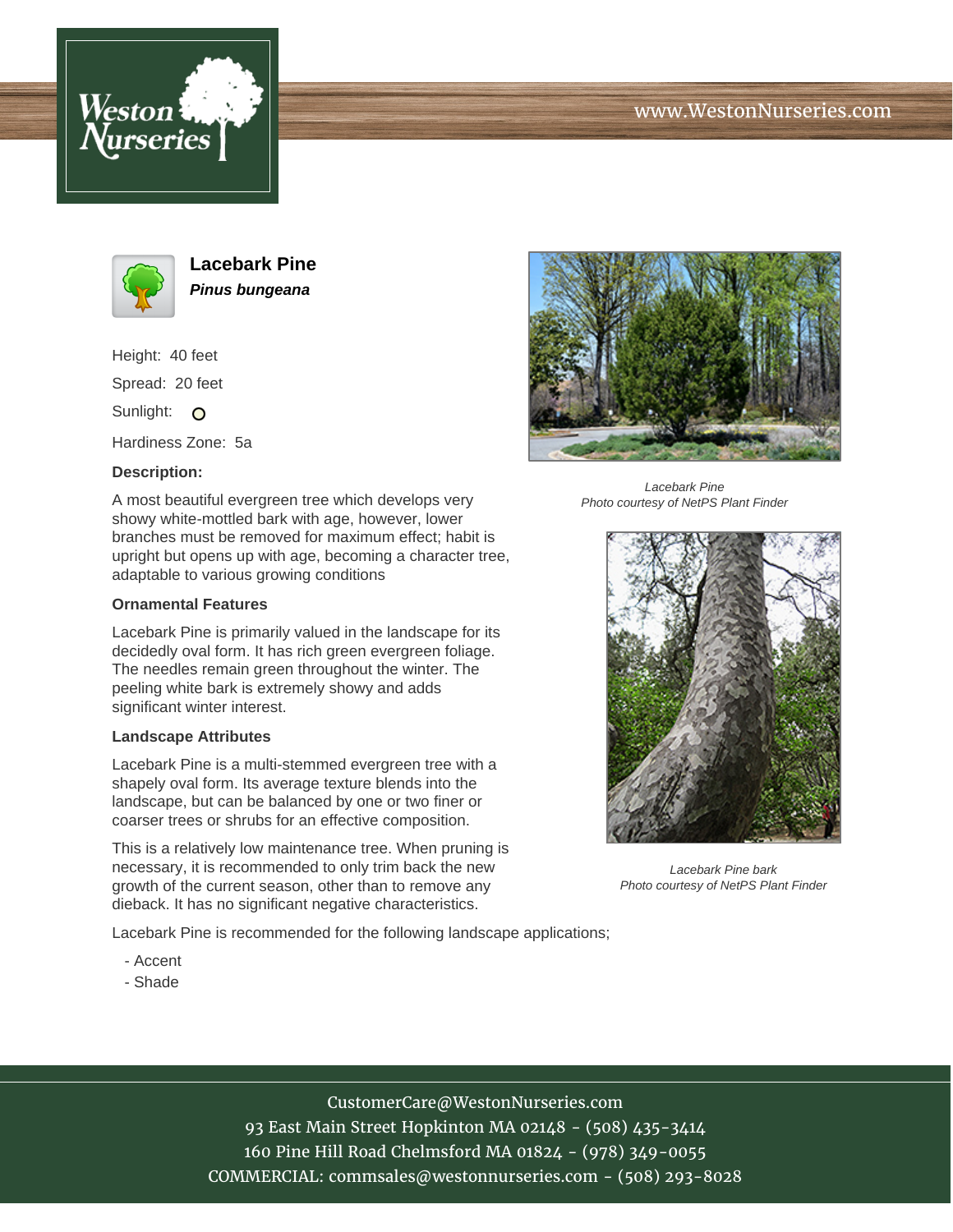



**Lacebark Pine Pinus bungeana**

Height: 40 feet Spread: 20 feet Sunlight: O

Hardiness Zone: 5a

## **Description:**

A most beautiful evergreen tree which develops very showy white-mottled bark with age, however, lower branches must be removed for maximum effect; habit is upright but opens up with age, becoming a character tree, adaptable to various growing conditions

### **Ornamental Features**

Lacebark Pine is primarily valued in the landscape for its decidedly oval form. It has rich green evergreen foliage. The needles remain green throughout the winter. The peeling white bark is extremely showy and adds significant winter interest.

### **Landscape Attributes**

Lacebark Pine is a multi-stemmed evergreen tree with a shapely oval form. Its average texture blends into the landscape, but can be balanced by one or two finer or coarser trees or shrubs for an effective composition.

This is a relatively low maintenance tree. When pruning is necessary, it is recommended to only trim back the new growth of the current season, other than to remove any dieback. It has no significant negative characteristics.

Lacebark Pine is recommended for the following landscape applications;

- Accent
- Shade



Lacebark Pine Photo courtesy of NetPS Plant Finder



Lacebark Pine bark Photo courtesy of NetPS Plant Finder

# CustomerCare@WestonNurseries.com

93 East Main Street Hopkinton MA 02148 - (508) 435-3414 160 Pine Hill Road Chelmsford MA 01824 - (978) 349-0055 COMMERCIAL: commsales@westonnurseries.com - (508) 293-8028